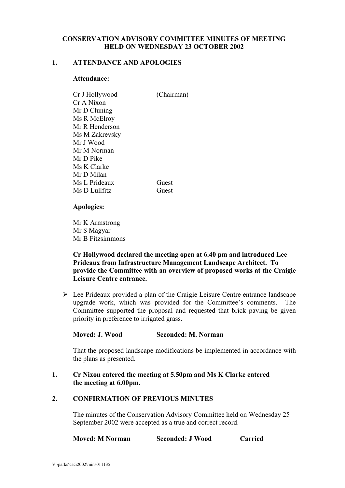## **CONSERVATION ADVISORY COMMITTEE MINUTES OF MEETING HELD ON WEDNESDAY 23 OCTOBER 2002**

### **1. ATTENDANCE AND APOLOGIES**

### **Attendance:**

| Cr J Hollywood | (Chairman) |
|----------------|------------|
| Cr A Nixon     |            |
| Mr D Cluning   |            |
| Ms R McElroy   |            |
| Mr R Henderson |            |
| Ms M Zakrevsky |            |
| Mr J Wood      |            |
| Mr M Norman    |            |
| Mr D Pike      |            |
| Ms K Clarke    |            |
| Mr D Milan     |            |
| Ms L Prideaux  | Guest      |
| Ms D Lullfitz  | Guest      |

### **Apologies:**

Mr K Armstrong Mr S Magyar Mr B Fitzsimmons

### **Cr Hollywood declared the meeting open at 6.40 pm and introduced Lee Prideaux from Infrastructure Management Landscape Architect. To provide the Committee with an overview of proposed works at the Craigie Leisure Centre entrance.**

 $\triangleright$  Lee Prideaux provided a plan of the Craigie Leisure Centre entrance landscape upgrade work, which was provided for the Committee's comments. The Committee supported the proposal and requested that brick paving be given priority in preference to irrigated grass.

# **Moved: J. Wood Seconded: M. Norman**

That the proposed landscape modifications be implemented in accordance with the plans as presented.

### **1. Cr Nixon entered the meeting at 5.50pm and Ms K Clarke entered the meeting at 6.00pm.**

# **2. CONFIRMATION OF PREVIOUS MINUTES**

 The minutes of the Conservation Advisory Committee held on Wednesday 25 September 2002 were accepted as a true and correct record.

| <b>Moved: M Norman</b> | <b>Seconded: J Wood</b> | Carried |
|------------------------|-------------------------|---------|
|------------------------|-------------------------|---------|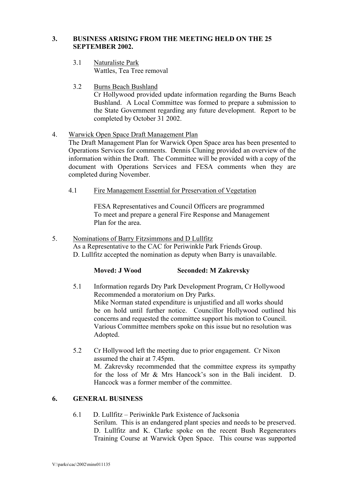## **3. BUSINESS ARISING FROM THE MEETING HELD ON THE 25 SEPTEMBER 2002.**

- 3.1 Naturaliste Park Wattles, Tea Tree removal
- 3.2 Burns Beach Bushland

Cr Hollywood provided update information regarding the Burns Beach Bushland. A Local Committee was formed to prepare a submission to the State Government regarding any future development. Report to be completed by October 31 2002.

4. Warwick Open Space Draft Management Plan

The Draft Management Plan for Warwick Open Space area has been presented to Operations Services for comments. Dennis Cluning provided an overview of the information within the Draft. The Committee will be provided with a copy of the document with Operations Services and FESA comments when they are completed during November.

4.1 Fire Management Essential for Preservation of Vegetation

 FESA Representatives and Council Officers are programmed To meet and prepare a general Fire Response and Management Plan for the area.

5. Nominations of Barry Fitzsimmons and D Lullfitz As a Representative to the CAC for Periwinkle Park Friends Group. D. Lullfitz accepted the nomination as deputy when Barry is unavailable.

| Moved: J Wood | <b>Seconded: M Zakrevsky</b> |
|---------------|------------------------------|
|               |                              |

- 5.1 Information regards Dry Park Development Program, Cr Hollywood Recommended a moratorium on Dry Parks. Mike Norman stated expenditure is unjustified and all works should be on hold until further notice. Councillor Hollywood outlined his concerns and requested the committee support his motion to Council. Various Committee members spoke on this issue but no resolution was Adopted.
- 5.2 Cr Hollywood left the meeting due to prior engagement. Cr Nixon assumed the chair at 7.45pm. M. Zakrevsky recommended that the committee express its sympathy for the loss of Mr & Mrs Hancock's son in the Bali incident. D. Hancock was a former member of the committee.

# **6. GENERAL BUSINESS**

6.1 D. Lullfitz – Periwinkle Park Existence of Jacksonia Serilum. This is an endangered plant species and needs to be preserved. D. Lullfitz and K. Clarke spoke on the recent Bush Regenerators Training Course at Warwick Open Space. This course was supported